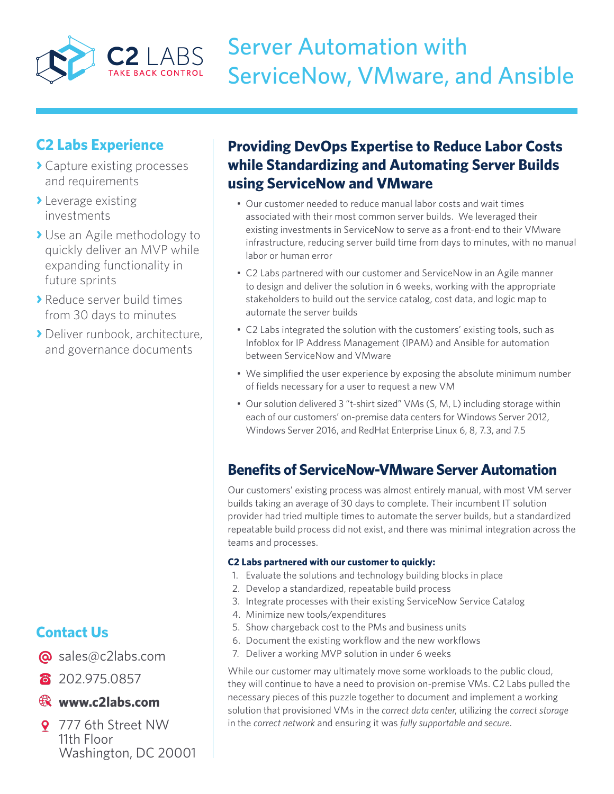

# Server Automation with ServiceNow, VMware, and Ansible

## **C2 Labs Experience**

- **›** Capture existing processes and requirements
- **›** Leverage existing investments
- **›** Use an Agile methodology to quickly deliver an MVP while expanding functionality in future sprints
- **›** Reduce server build times from 30 days to minutes
- **›** Deliver runbook, architecture, and governance documents

# **Contact Us**

- @ sales@c2labs.com
- 8 202.975.0857

#### **www.c2labs.com**

9 777 6th Street NW 11th Floor Washington, DC 20001

## **Providing DevOps Expertise to Reduce Labor Costs while Standardizing and Automating Server Builds using ServiceNow and VMware**

- Our customer needed to reduce manual labor costs and wait times associated with their most common server builds. We leveraged their existing investments in ServiceNow to serve as a front-end to their VMware infrastructure, reducing server build time from days to minutes, with no manual labor or human error
- C2 Labs partnered with our customer and ServiceNow in an Agile manner to design and deliver the solution in 6 weeks, working with the appropriate stakeholders to build out the service catalog, cost data, and logic map to automate the server builds
- C2 Labs integrated the solution with the customers' existing tools, such as Infoblox for IP Address Management (IPAM) and Ansible for automation between ServiceNow and VMware
- • We simplified the user experience by exposing the absolute minimum number of fields necessary for a user to request a new VM
- Our solution delivered 3 "t-shirt sized" VMs (S, M, L) including storage within each of our customers' on-premise data centers for Windows Server 2012, Windows Server 2016, and RedHat Enterprise Linux 6, 8, 7.3, and 7.5

## **Benefits of ServiceNow-VMware Server Automation**

Our customers' existing process was almost entirely manual, with most VM server builds taking an average of 30 days to complete. Their incumbent IT solution provider had tried multiple times to automate the server builds, but a standardized repeatable build process did not exist, and there was minimal integration across the teams and processes.

#### **C2 Labs partnered with our customer to quickly:**

- 1. Evaluate the solutions and technology building blocks in place
- 2. Develop a standardized, repeatable build process
- 3. Integrate processes with their existing ServiceNow Service Catalog
- 4. Minimize new tools/expenditures
- 5. Show chargeback cost to the PMs and business units
- 6. Document the existing workflow and the new workflows
- 7. Deliver a working MVP solution in under 6 weeks

While our customer may ultimately move some workloads to the public cloud, they will continue to have a need to provision on-premise VMs. C2 Labs pulled the necessary pieces of this puzzle together to document and implement a working solution that provisioned VMs in the *correct data center*, utilizing the *correct storage* in the *correct network* and ensuring it was *fully supportable and secure*.